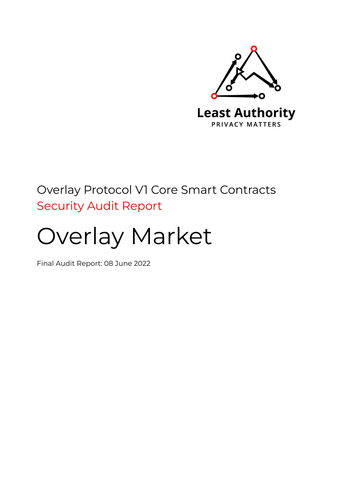

## Overlay Protocol V1 Core Smart Contracts Security Audit Report

# Overlay Market

Final Audit Report: 08 June 2022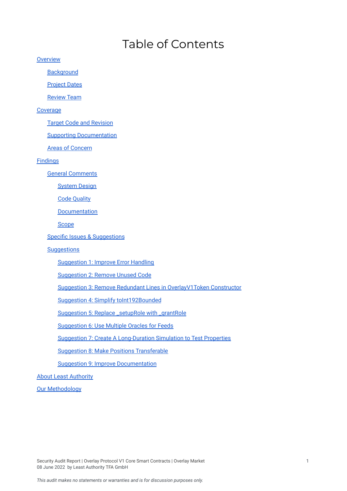## Table of Contents

**[Overview](#page-2-0)** 

**[Background](#page-2-1)** 

**[Project](#page-2-2) Dates** 

[Review](#page-2-3) Team

#### **[Coverage](#page-2-4)**

Target Code and [Revision](#page-2-5)

Supporting [Documentation](#page-3-0)

Areas of [Concern](#page-3-1)

[Findings](#page-3-2)

General [Comments](#page-3-3)

[System](#page-4-0) Design

Code [Quality](#page-4-1)

[Documentation](#page-4-2)

[Scope](#page-5-0)

Specific Issues & [Suggestions](#page-5-1)

#### **[Suggestions](#page-5-2)**

[Suggestion](#page-5-3) 1: Improve Error Handling

[Suggestion](#page-6-0) 2: Remove Unused Code

Suggestion 3: Remove Redundant Lines in [OverlayV1Token](#page-6-1) Constructor

Suggestion 4: Simplify [toInt192Bounded](#page-7-0)

[Suggestion](#page-7-1) 5: Replace \_setupRole with \_grantRole

[Suggestion](#page-8-0) 6: Use Multiple Oracles for Feeds

Suggestion 7: Create A [Long-Duration](#page-8-1) Simulation to Test Properties

Suggestion 8: Make Positions [Transferable](#page-9-0)

Suggestion 9: Improve [Documentation](#page-9-1)

About Least [Authority](#page-9-2)

**Our [Methodology](#page-10-0)** 

Security Audit Report | Overlay Protocol V1 Core Smart Contracts | Overlay Market 1 08 June 2022 by Least Authority TFA GmbH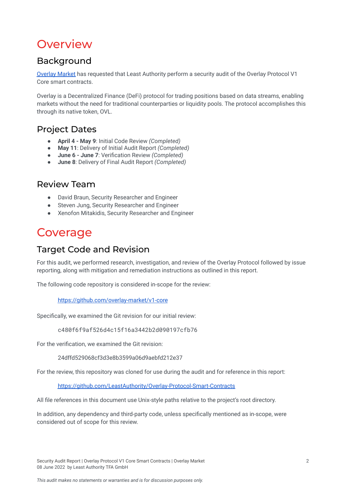## <span id="page-2-0"></span>**Overview**

## <span id="page-2-1"></span>Background

[Overlay](https://overlay.market/) Market has requested that Least Authority perform a security audit of the Overlay Protocol V1 Core smart contracts.

Overlay is a Decentralized Finance (DeFi) protocol for trading positions based on data streams, enabling markets without the need for traditional counterparties or liquidity pools. The protocol accomplishes this through its native token, OVL.

## <span id="page-2-2"></span>Project Dates

- **April 4 - May 9**: Initial Code Review *(Completed)*
- **May 11**: Delivery of Initial Audit Report *(Completed)*
- **June 6 - June 7**: Verification Review *(Completed)*
- **June 8**: Delivery of Final Audit Report *(Completed)*

### <span id="page-2-3"></span>Review Team

- David Braun, Security Researcher and Engineer
- Steven Jung, Security Researcher and Engineer
- Xenofon Mitakidis, Security Researcher and Engineer

## <span id="page-2-4"></span>Coverage

## <span id="page-2-5"></span>Target Code and Revision

For this audit, we performed research, investigation, and review of the Overlay Protocol followed by issue reporting, along with mitigation and remediation instructions as outlined in this report.

The following code repository is considered in-scope for the review:

<https://github.com/overlay-market/v1-core>

Specifically, we examined the Git revision for our initial review:

c480f6f9af526d4c15f16a3442b2d090197cfb76

For the verification, we examined the Git revision:

24dffd529068cf3d3e8b3599a06d9aebfd212e37

For the review, this repository was cloned for use during the audit and for reference in this report:

<https://github.com/LeastAuthority/Overlay-Protocol-Smart-Contracts>

All file references in this document use Unix-style paths relative to the project's root directory.

In addition, any dependency and third-party code, unless specifically mentioned as in-scope, were considered out of scope for this review.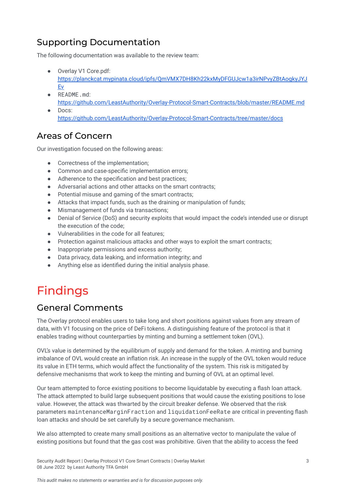## <span id="page-3-0"></span>Supporting Documentation

The following documentation was available to the review team:

- Overlay V1 Core.pdf: [https://planckcat.mypinata.cloud/ipfs/QmVMX7DH8Kh22kxMyDFGUJcw1a3irNPvyZBtAogkyJYJ](https://planckcat.mypinata.cloud/ipfs/QmVMX7DH8Kh22kxMyDFGUJcw1a3irNPvyZBtAogkyJYJEv) [Ev](https://planckcat.mypinata.cloud/ipfs/QmVMX7DH8Kh22kxMyDFGUJcw1a3irNPvyZBtAogkyJYJEv)
- README.md: <https://github.com/LeastAuthority/Overlay-Protocol-Smart-Contracts/blob/master/README.md>
- Docs: <https://github.com/LeastAuthority/Overlay-Protocol-Smart-Contracts/tree/master/docs>

## <span id="page-3-1"></span>Areas of Concern

Our investigation focused on the following areas:

- Correctness of the implementation;
- Common and case-specific implementation errors:
- Adherence to the specification and best practices;
- Adversarial actions and other attacks on the smart contracts;
- Potential misuse and gaming of the smart contracts;
- Attacks that impact funds, such as the draining or manipulation of funds;
- Mismanagement of funds via transactions;
- Denial of Service (DoS) and security exploits that would impact the code's intended use or disrupt the execution of the code;
- Vulnerabilities in the code for all features;
- Protection against malicious attacks and other ways to exploit the smart contracts;
- Inappropriate permissions and excess authority;
- Data privacy, data leaking, and information integrity; and
- Anything else as identified during the initial analysis phase.

## <span id="page-3-2"></span>Findings

### <span id="page-3-3"></span>General Comments

The Overlay protocol enables users to take long and short positions against values from any stream of data, with V1 focusing on the price of DeFi tokens. A distinguishing feature of the protocol is that it enables trading without counterparties by minting and burning a settlement token (OVL).

OVL's value is determined by the equilibrium of supply and demand for the token. A minting and burning imbalance of OVL would create an inflation risk. An increase in the supply of the OVL token would reduce its value in ETH terms, which would affect the functionality of the system. This risk is mitigated by defensive mechanisms that work to keep the minting and burning of OVL at an optimal level.

Our team attempted to force existing positions to become liquidatable by executing a flash loan attack. The attack attempted to build large subsequent positions that would cause the existing positions to lose value. However, the attack was thwarted by the circuit breaker defense. We observed that the risk parameters maintenanceMarginFraction and liquidationFeeRate are critical in preventing flash loan attacks and should be set carefully by a secure governance mechanism.

We also attempted to create many small positions as an alternative vector to manipulate the value of existing positions but found that the gas cost was prohibitive. Given that the ability to access the feed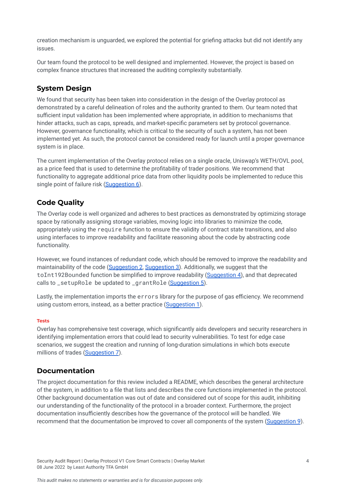creation mechanism is unguarded, we explored the potential for griefing attacks but did not identify any issues.

Our team found the protocol to be well designed and implemented. However, the project is based on complex finance structures that increased the auditing complexity substantially.

### <span id="page-4-0"></span>**System Design**

We found that security has been taken into consideration in the design of the Overlay protocol as demonstrated by a careful delineation of roles and the authority granted to them. Our team noted that sufficient input validation has been implemented where appropriate, in addition to mechanisms that hinder attacks, such as caps, spreads, and market-specific parameters set by protocol governance. However, governance functionality, which is critical to the security of such a system, has not been implemented yet. As such, the protocol cannot be considered ready for launch until a proper governance system is in place.

The current implementation of the Overlay protocol relies on a single oracle, Uniswap's WETH/OVL pool, as a price feed that is used to determine the profitability of trader positions. We recommend that functionality to aggregate additional price data from other liquidity pools be implemented to reduce this single point of failure risk [\(Suggestion](#page-8-0) 6).

### <span id="page-4-1"></span>**Code Quality**

The Overlay code is well organized and adheres to best practices as demonstrated by optimizing storage space by rationally assigning storage variables, moving logic into libraries to minimize the code, appropriately using the require function to ensure the validity of contract state transitions, and also using interfaces to improve readability and facilitate reasoning about the code by abstracting code functionality.

However, we found instances of redundant code, which should be removed to improve the readability and maintainability of the code ([Suggestion](#page-6-0) 2, [Suggestion](#page-6-1) 3). Additionally, we suggest that the toInt192Bounded function be simplified to improve readability ([Suggestion](#page-7-0) 4), and that deprecated calls to \_setupRole be updated to \_grantRole [\(Suggestion](#page-7-1) 5).

Lastly, the implementation imports the errors library for the purpose of gas efficiency. We recommend using custom errors, instead, as a better practice ([Suggestion](#page-5-3) 1).

#### **Tests**

Overlay has comprehensive test coverage, which significantly aids developers and security researchers in identifying implementation errors that could lead to security vulnerabilities. To test for edge case scenarios, we suggest the creation and running of long-duration simulations in which bots execute millions of trades [\(Suggestion](#page-8-1) 7).

#### <span id="page-4-2"></span>**Documentation**

The project documentation for this review included a README, which describes the general architecture of the system, in addition to a file that lists and describes the core functions implemented in the protocol. Other background documentation was out of date and considered out of scope for this audit, inhibiting our understanding of the functionality of the protocol in a broader context. Furthermore, the project documentation insufficiently describes how the governance of the protocol will be handled. We recommend that the documentation be improved to cover all components of the system [\(Suggestion](#page-9-1) 9).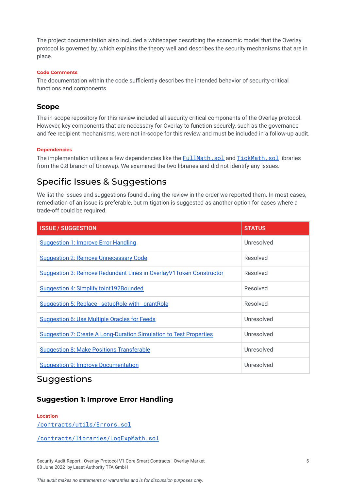The project documentation also included a whitepaper describing the economic model that the Overlay protocol is governed by, which explains the theory well and describes the security mechanisms that are in place.

#### **Code Comments**

The documentation within the code sufficiently describes the intended behavior of security-critical functions and components.

#### <span id="page-5-0"></span>**Scope**

The in-scope repository for this review included all security critical components of the Overlay protocol. However, key components that are necessary for Overlay to function securely, such as the governance and fee recipient mechanisms, were not in-scope for this review and must be included in a follow-up audit.

#### **Dependencies**

The implementation utilizes a few dependencies like the **[FullMath.sol](https://github.com/LeastAuthority/Overlay-Protocol-Smart-Contracts/blob/master/contracts/libraries/uniswap/v3-core/FullMath.sol) and [TickMath.sol](https://github.com/LeastAuthority/Overlay-Protocol-Smart-Contracts/blob/master/contracts/libraries/uniswap/v3-core/TickMath.sol)** libraries from the 0.8 branch of Uniswap. We examined the two libraries and did not identify any issues.

### <span id="page-5-1"></span>Specific Issues & Suggestions

We list the issues and suggestions found during the review in the order we reported them. In most cases, remediation of an issue is preferable, but mitigation is suggested as another option for cases where a trade-off could be required.

| <b>ISSUE / SUGGESTION</b>                                            | <b>STATUS</b> |
|----------------------------------------------------------------------|---------------|
| <b>Suggestion 1: Improve Error Handling</b>                          | Unresolved    |
| <b>Suggestion 2: Remove Unnecessary Code</b>                         | Resolved      |
| Suggestion 3: Remove Redundant Lines in Overlay V1 Token Constructor | Resolved      |
| Suggestion 4: Simplify to Int192Bounded                              | Resolved      |
| Suggestion 5: Replace _setupRole with _grantRole                     | Resolved      |
| <b>Suggestion 6: Use Multiple Oracles for Feeds</b>                  | Unresolved    |
| Suggestion 7: Create A Long-Duration Simulation to Test Properties   | Unresolved    |
| <b>Suggestion 8: Make Positions Transferable</b>                     | Unresolved    |
| <b>Suggestion 9: Improve Documentation</b>                           | Unresolved    |

### <span id="page-5-2"></span>Suggestions

### <span id="page-5-3"></span>**Suggestion 1: Improve Error Handling**

#### **Location**

[/contracts/utils/Errors.sol](https://github.com/LeastAuthority/Overlay-Protocol-Smart-Contracts/blob/c480f6f9af526d4c15f16a3442b2d090197cfb76/contracts/utils/Errors.sol)

[/contracts/libraries/LogExpMath.sol](https://github.com/LeastAuthority/Overlay-Protocol-Smart-Contracts/blob/c480f6f9af526d4c15f16a3442b2d090197cfb76/contracts/libraries/LogExpMath.sol)

Security Audit Report | Overlay Protocol V1 Core Smart Contracts | Overlay Market 5 08 June 2022 by Least Authority TFA GmbH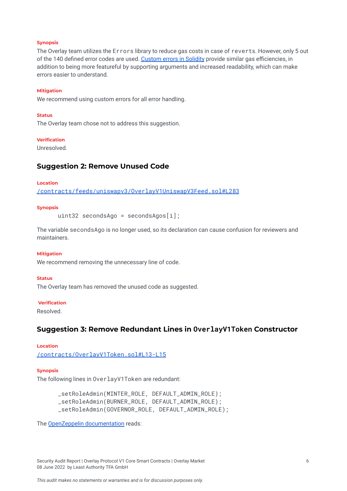#### **Synopsis**

The Overlay team utilizes the Errors library to reduce gas costs in case of reverts. However, only 5 out of the 140 defined error codes are used. [Custom](https://docs.soliditylang.org/en/v0.8.10/contracts.html#errors) errors in Solidity provide similar gas efficiencies, in addition to being more featureful by supporting arguments and increased readability, which can make errors easier to understand.

#### **Mitigation**

We recommend using custom errors for all error handling.

#### **Status**

The Overlay team chose not to address this suggestion.

#### **Verification**

Unresolved.

#### <span id="page-6-0"></span>**Suggestion 2: Remove Unused Code**

#### **Location**

[/contracts/feeds/uniswapv3/OverlayV1UniswapV3Feed.sol#L283](https://github.com/LeastAuthority/Overlay-Protocol-Smart-Contracts/blob/c480f6f9af526d4c15f16a3442b2d090197cfb76/contracts/feeds/uniswapv3/OverlayV1UniswapV3Feed.sol#L283)

#### **Synopsis**

uint32 secondsAgo = secondsAgos[i];

The variable secondsAgo is no longer used, so its declaration can cause confusion for reviewers and maintainers.

#### **Mitigation**

We recommend removing the unnecessary line of code.

#### **Status**

The Overlay team has removed the unused code as suggested.

#### **Verification**

Resolved.

#### <span id="page-6-1"></span>**Suggestion 3: Remove Redundant Lines in OverlayV1Token Constructor**

#### **Location**

[/contracts/OverlayV1Token.sol#L13-L15](https://github.com/LeastAuthority/Overlay-Protocol-Smart-Contracts/blob/master/contracts/OverlayV1Token.sol#L13-L15)

#### **Synopsis**

The following lines in OverlayV1Token are redundant:

\_setRoleAdmin(MINTER\_ROLE, DEFAULT\_ADMIN\_ROLE); \_setRoleAdmin(BURNER\_ROLE, DEFAULT\_ADMIN\_ROLE); \_setRoleAdmin(GOVERNOR\_ROLE, DEFAULT\_ADMIN\_ROLE);

The OpenZeppelin [documentation](https://docs.openzeppelin.com/contracts/4.x/access-control) reads:

Security Audit Report | Overlay Protocol V1 Core Smart Contracts | Overlay Market 6 08 June 2022 by Least Authority TFA GmbH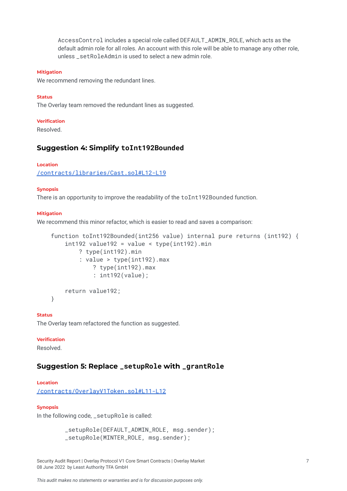AccessControl includes a special role called DEFAULT\_ADMIN\_ROLE, which acts as the default admin role for all roles. An account with this role will be able to manage any other role, unless setRoleAdmin is used to select a new admin role.

#### **Mitigation**

We recommend removing the redundant lines.

#### **Status**

The Overlay team removed the redundant lines as suggested.

#### **Verification**

Resolved.

#### <span id="page-7-0"></span>**Suggestion 4: Simplify toInt192Bounded**

#### **Location**

[/contracts/libraries/Cast.sol#L12-L19](https://github.com/LeastAuthority/Overlay-Protocol-Smart-Contracts/blob/master/contracts/libraries/Cast.sol#L12-L19)

#### **Synopsis**

There is an opportunity to improve the readability of the toInt192Bounded function.

#### **Mitigation**

We recommend this minor refactor, which is easier to read and saves a comparison:

```
function toInt192Bounded(int256 value) internal pure returns (int192) {
int192 value192 = value < type(int192).min
    ? type(int192).min
    : value > type(int192).max
        ? type(int192).max
        : int192(value);
return value192;
```
}

#### **Status**

The Overlay team refactored the function as suggested.

#### **Verification**

Resolved.

#### <span id="page-7-1"></span>**Suggestion 5: Replace \_setupRole with \_grantRole**

#### **Location**

[/contracts/OverlayV1Token.sol#L11-L12](https://github.com/LeastAuthority/Overlay-Protocol-Smart-Contracts/blob/master/contracts/OverlayV1Token.sol#L11-L12)

#### **Synopsis**

In the following code, \_setupRole is called:

\_setupRole(DEFAULT\_ADMIN\_ROLE, msg.sender); \_setupRole(MINTER\_ROLE, msg.sender);

Security Audit Report | Overlay Protocol V1 Core Smart Contracts | Overlay Market 7 08 June 2022 by Least Authority TFA GmbH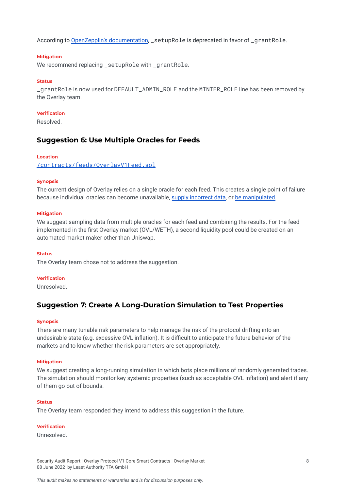According to OpenZepplin's [documentation](https://docs.openzeppelin.com/contracts/4.x/api/access#AccessControl-_setupRole-bytes32-address-), \_setupRole is deprecated in favor of \_grantRole.

#### **Mitigation**

We recommend replacing \_setupRole with \_grantRole.

#### **Status**

\_grantRole is now used for DEFAULT\_ADMIN\_ROLE and the MINTER\_ROLE line has been removed by the Overlay team.

#### **Verification**

Resolved.

#### <span id="page-8-0"></span>**Suggestion 6: Use Multiple Oracles for Feeds**

#### **Location**

[/contracts/feeds/OverlayV1Feed.sol](https://github.com/LeastAuthority/Overlay-Protocol-Smart-Contracts/blob/master/contracts/feeds/OverlayV1Feed.sol)

#### **Synopsis**

The current design of Overlay relies on a single oracle for each feed. This creates a single point of failure because individual oracles can become unavailable, supply [incorrect](https://blog.synthetix.io/response-to-oracle-incident/) data, or be [manipulated.](https://blog.euler.finance/uniswap-oracle-attack-simulator-42d18adf65af)

#### **Mitigation**

We suggest sampling data from multiple oracles for each feed and combining the results. For the feed implemented in the first Overlay market (OVL/WETH), a second liquidity pool could be created on an automated market maker other than Uniswap.

#### **Status**

The Overlay team chose not to address the suggestion.

#### **Verification**

Unresolved.

#### <span id="page-8-1"></span>**Suggestion 7: Create A Long-Duration Simulation to Test Properties**

#### **Synopsis**

There are many tunable risk parameters to help manage the risk of the protocol drifting into an undesirable state (e.g. excessive OVL inflation). It is difficult to anticipate the future behavior of the markets and to know whether the risk parameters are set appropriately.

#### **Mitigation**

We suggest creating a long-running simulation in which bots place millions of randomly generated trades. The simulation should monitor key systemic properties (such as acceptable OVL inflation) and alert if any of them go out of bounds.

#### **Status**

The Overlay team responded they intend to address this suggestion in the future.

#### **Verification**

Unresolved.

Security Audit Report | Overlay Protocol V1 Core Smart Contracts | Overlay Market 8 08 June 2022 by Least Authority TFA GmbH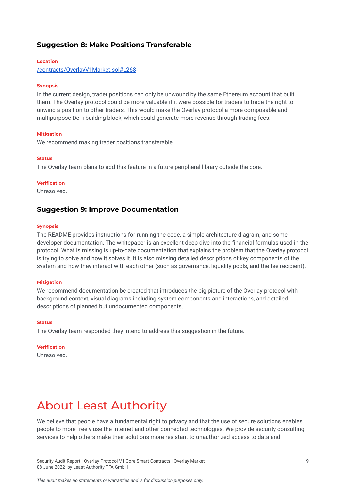#### <span id="page-9-0"></span>**Suggestion 8: Make Positions Transferable**

#### **Location**

[/contracts/OverlayV1Market.sol#L268](https://github.com/LeastAuthority/Overlay-Protocol-Smart-Contracts/blob/master/contracts/OverlayV1Market.sol#L268)

#### **Synopsis**

In the current design, trader positions can only be unwound by the same Ethereum account that built them. The Overlay protocol could be more valuable if it were possible for traders to trade the right to unwind a position to other traders. This would make the Overlay protocol a more composable and multipurpose DeFi building block, which could generate more revenue through trading fees.

#### **Mitigation**

We recommend making trader positions transferable.

#### **Status**

The Overlay team plans to add this feature in a future peripheral library outside the core.

#### **Verification**

Unresolved.

#### <span id="page-9-1"></span>**Suggestion 9: Improve Documentation**

#### **Synopsis**

The README provides instructions for running the code, a simple architecture diagram, and some developer documentation. The whitepaper is an excellent deep dive into the financial formulas used in the protocol. What is missing is up-to-date documentation that explains the problem that the Overlay protocol is trying to solve and how it solves it. It is also missing detailed descriptions of key components of the system and how they interact with each other (such as governance, liquidity pools, and the fee recipient).

#### **Mitigation**

We recommend documentation be created that introduces the big picture of the Overlay protocol with background context, visual diagrams including system components and interactions, and detailed descriptions of planned but undocumented components.

#### **Status**

The Overlay team responded they intend to address this suggestion in the future.

#### **Verification**

Unresolved.

## <span id="page-9-2"></span>About Least Authority

We believe that people have a fundamental right to privacy and that the use of secure solutions enables people to more freely use the Internet and other connected technologies. We provide security consulting services to help others make their solutions more resistant to unauthorized access to data and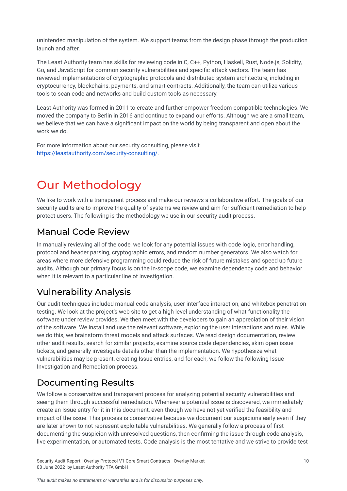unintended manipulation of the system. We support teams from the design phase through the production launch and after.

The Least Authority team has skills for reviewing code in C, C++, Python, Haskell, Rust, Node.js, Solidity, Go, and JavaScript for common security vulnerabilities and specific attack vectors. The team has reviewed implementations of cryptographic protocols and distributed system architecture, including in cryptocurrency, blockchains, payments, and smart contracts. Additionally, the team can utilize various tools to scan code and networks and build custom tools as necessary.

Least Authority was formed in 2011 to create and further empower freedom-compatible technologies. We moved the company to Berlin in 2016 and continue to expand our efforts. Although we are a small team, we believe that we can have a significant impact on the world by being transparent and open about the work we do.

For more information about our security consulting, please visit [https://leastauthority.com/security-consulting/.](https://leastauthority.com/security-consulting/)

## <span id="page-10-0"></span>Our Methodology

We like to work with a transparent process and make our reviews a collaborative effort. The goals of our security audits are to improve the quality of systems we review and aim for sufficient remediation to help protect users. The following is the methodology we use in our security audit process.

## Manual Code Review

In manually reviewing all of the code, we look for any potential issues with code logic, error handling, protocol and header parsing, cryptographic errors, and random number generators. We also watch for areas where more defensive programming could reduce the risk of future mistakes and speed up future audits. Although our primary focus is on the in-scope code, we examine dependency code and behavior when it is relevant to a particular line of investigation.

## Vulnerability Analysis

Our audit techniques included manual code analysis, user interface interaction, and whitebox penetration testing. We look at the project's web site to get a high level understanding of what functionality the software under review provides. We then meet with the developers to gain an appreciation of their vision of the software. We install and use the relevant software, exploring the user interactions and roles. While we do this, we brainstorm threat models and attack surfaces. We read design documentation, review other audit results, search for similar projects, examine source code dependencies, skim open issue tickets, and generally investigate details other than the implementation. We hypothesize what vulnerabilities may be present, creating Issue entries, and for each, we follow the following Issue Investigation and Remediation process.

## Documenting Results

We follow a conservative and transparent process for analyzing potential security vulnerabilities and seeing them through successful remediation. Whenever a potential issue is discovered, we immediately create an Issue entry for it in this document, even though we have not yet verified the feasibility and impact of the issue. This process is conservative because we document our suspicions early even if they are later shown to not represent exploitable vulnerabilities. We generally follow a process of first documenting the suspicion with unresolved questions, then confirming the issue through code analysis, live experimentation, or automated tests. Code analysis is the most tentative and we strive to provide test